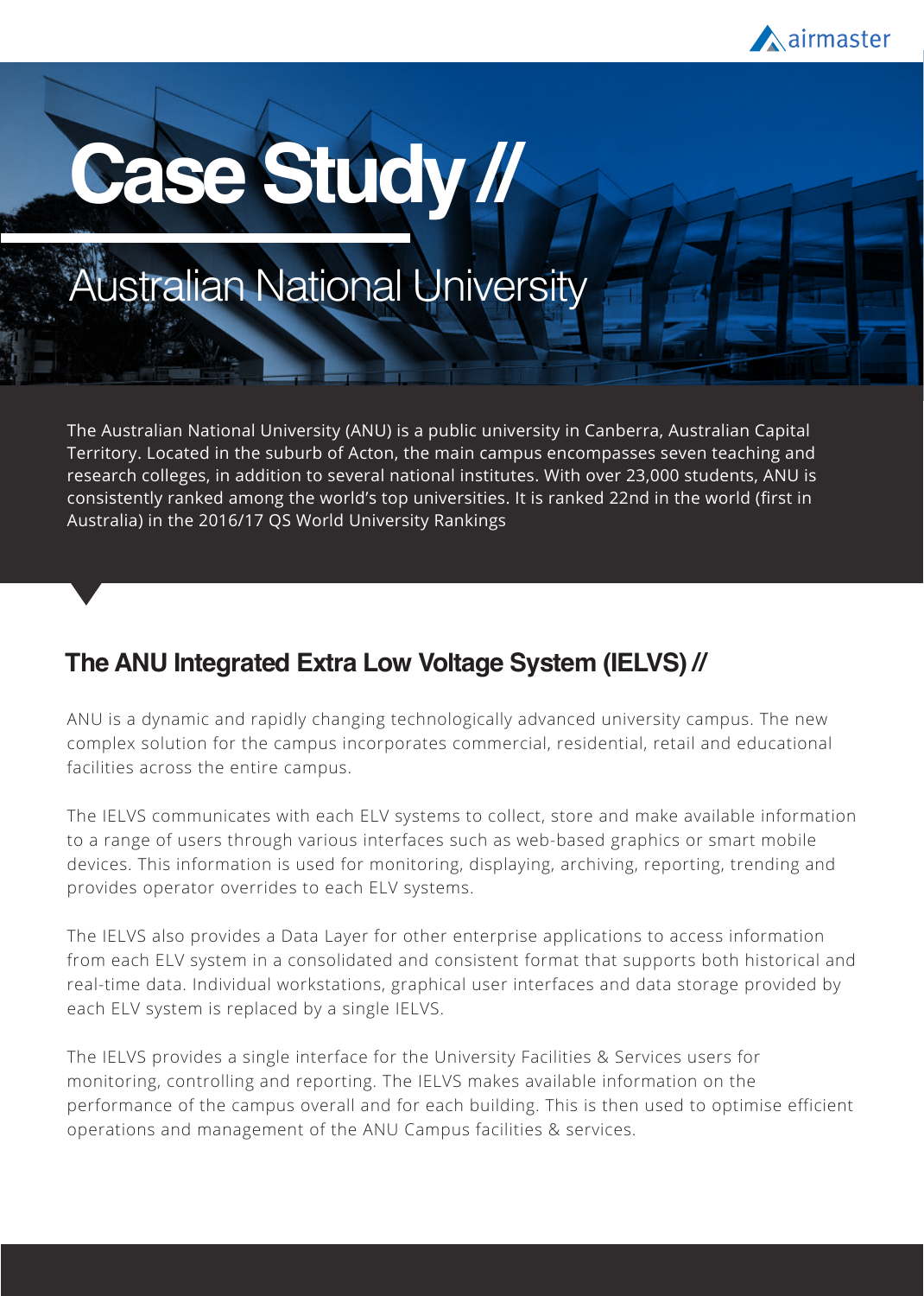

# **Case Study //**

# Australian National University

The Australian National University (ANU) is a public university in Canberra, Australian Capital Territory. Located in the suburb of Acton, the main campus encompasses seven teaching and research colleges, in addition to several national institutes. With over 23,000 students, ANU is consistently ranked among the world's top universities. It is ranked 22nd in the world (first in Australia) in the 2016/17 QS World University Rankings

#### **The ANU Integrated Extra Low Voltage System (IELVS) //**

ANU is a dynamic and rapidly changing technologically advanced university campus. The new complex solution for the campus incorporates commercial, residential, retail and educational facilities across the entire campus.

The IELVS communicates with each ELV systems to collect, store and make available information to a range of users through various interfaces such as web-based graphics or smart mobile devices. This information is used for monitoring, displaying, archiving, reporting, trending and provides operator overrides to each ELV systems.

The IELVS also provides a Data Layer for other enterprise applications to access information from each ELV system in a consolidated and consistent format that supports both historical and real-time data. Individual workstations, graphical user interfaces and data storage provided by each ELV system is replaced by a single IELVS.

The IELVS provides a single interface for the University Facilities & Services users for monitoring, controlling and reporting. The IELVS makes available information on the performance of the campus overall and for each building. This is then used to optimise efficient operations and management of the ANU Campus facilities & services.